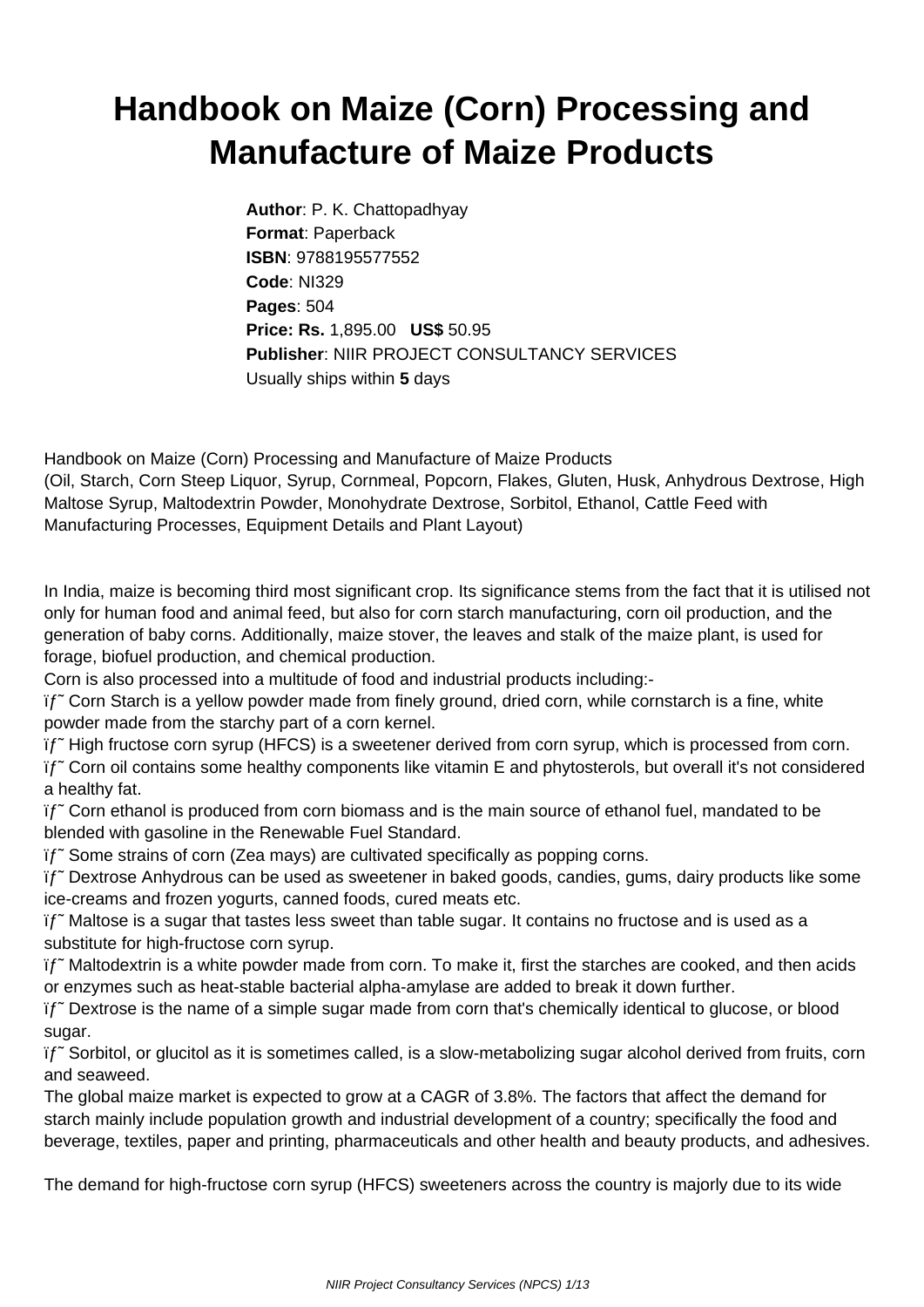## **Handbook on Maize (Corn) Processing and Manufacture of Maize Products**

**Author**: P. K. Chattopadhyay **Format**: Paperback **ISBN**: 9788195577552 **Code**: NI329 **Pages**: 504 **Price: Rs.** 1,895.00 **US\$** 50.95 **Publisher**: NIIR PROJECT CONSULTANCY SERVICES Usually ships within **5** days

Handbook on Maize (Corn) Processing and Manufacture of Maize Products (Oil, Starch, Corn Steep Liquor, Syrup, Cornmeal, Popcorn, Flakes, Gluten, Husk, Anhydrous Dextrose, High Maltose Syrup, Maltodextrin Powder, Monohydrate Dextrose, Sorbitol, Ethanol, Cattle Feed with Manufacturing Processes, Equipment Details and Plant Layout)

In India, maize is becoming third most significant crop. Its significance stems from the fact that it is utilised not only for human food and animal feed, but also for corn starch manufacturing, corn oil production, and the generation of baby corns. Additionally, maize stover, the leaves and stalk of the maize plant, is used for forage, biofuel production, and chemical production.

Corn is also processed into a multitude of food and industrial products including:-

if" Corn Starch is a yellow powder made from finely ground, dried corn, while cornstarch is a fine, white powder made from the starchy part of a corn kernel.

 High fructose corn syrup (HFCS) is a sweetener derived from corn syrup, which is processed from corn.  Corn oil contains some healthy components like vitamin E and phytosterols, but overall it's not considered

a healthy fat.

if" Corn ethanol is produced from corn biomass and is the main source of ethanol fuel, mandated to be blended with gasoline in the Renewable Fuel Standard.

if<sup>"</sup> Some strains of corn (Zea mays) are cultivated specifically as popping corns.

 Dextrose Anhydrous can be used as sweetener in baked goods, candies, gums, dairy products like some ice-creams and frozen yogurts, canned foods, cured meats etc.

 $if$  Maltose is a sugar that tastes less sweet than table sugar. It contains no fructose and is used as a substitute for high-fructose corn syrup.

 Maltodextrin is a white powder made from corn. To make it, first the starches are cooked, and then acids or enzymes such as heat-stable bacterial alpha-amylase are added to break it down further.

if" Dextrose is the name of a simple sugar made from corn that's chemically identical to glucose, or blood sugar.

if" Sorbitol, or glucitol as it is sometimes called, is a slow-metabolizing sugar alcohol derived from fruits, corn and seaweed.

The global maize market is expected to grow at a CAGR of 3.8%. The factors that affect the demand for starch mainly include population growth and industrial development of a country; specifically the food and beverage, textiles, paper and printing, pharmaceuticals and other health and beauty products, and adhesives.

The demand for high-fructose corn syrup (HFCS) sweeteners across the country is majorly due to its wide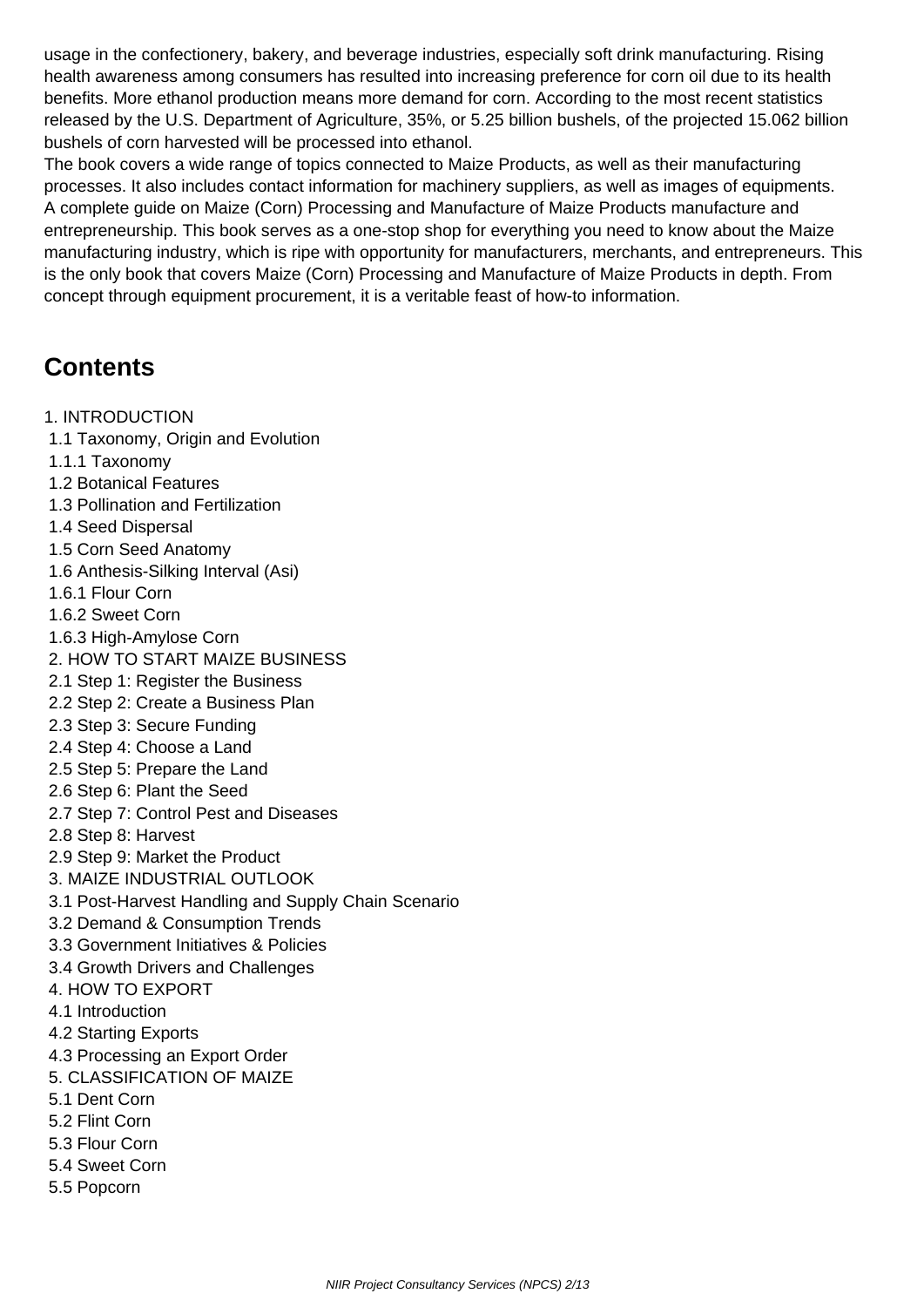usage in the confectionery, bakery, and beverage industries, especially soft drink manufacturing. Rising health awareness among consumers has resulted into increasing preference for corn oil due to its health benefits. More ethanol production means more demand for corn. According to the most recent statistics released by the U.S. Department of Agriculture, 35%, or 5.25 billion bushels, of the projected 15.062 billion bushels of corn harvested will be processed into ethanol.

The book covers a wide range of topics connected to Maize Products, as well as their manufacturing processes. It also includes contact information for machinery suppliers, as well as images of equipments. A complete guide on Maize (Corn) Processing and Manufacture of Maize Products manufacture and entrepreneurship. This book serves as a one-stop shop for everything you need to know about the Maize manufacturing industry, which is ripe with opportunity for manufacturers, merchants, and entrepreneurs. This is the only book that covers Maize (Corn) Processing and Manufacture of Maize Products in depth. From concept through equipment procurement, it is a veritable feast of how-to information.

## **Contents**

- 1. INTRODUCTION
- 1.1 Taxonomy, Origin and Evolution
- 1.1.1 Taxonomy
- 1.2 Botanical Features
- 1.3 Pollination and Fertilization
- 1.4 Seed Dispersal
- 1.5 Corn Seed Anatomy
- 1.6 Anthesis-Silking Interval (Asi)
- 1.6.1 Flour Corn
- 1.6.2 Sweet Corn
- 1.6.3 High-Amylose Corn
- 2. HOW TO START MAIZE BUSINESS
- 2.1 Step 1: Register the Business
- 2.2 Step 2: Create a Business Plan
- 2.3 Step 3: Secure Funding
- 2.4 Step 4: Choose a Land
- 2.5 Step 5: Prepare the Land
- 2.6 Step 6: Plant the Seed
- 2.7 Step 7: Control Pest and Diseases
- 2.8 Step 8: Harvest
- 2.9 Step 9: Market the Product
- 3. MAIZE INDUSTRIAL OUTLOOK
- 3.1 Post-Harvest Handling and Supply Chain Scenario
- 3.2 Demand & Consumption Trends
- 3.3 Government Initiatives & Policies
- 3.4 Growth Drivers and Challenges
- 4. HOW TO EXPORT
- 4.1 Introduction
- 4.2 Starting Exports
- 4.3 Processing an Export Order
- 5. CLASSIFICATION OF MAIZE
- 5.1 Dent Corn
- 5.2 Flint Corn
- 5.3 Flour Corn
- 5.4 Sweet Corn
- 5.5 Popcorn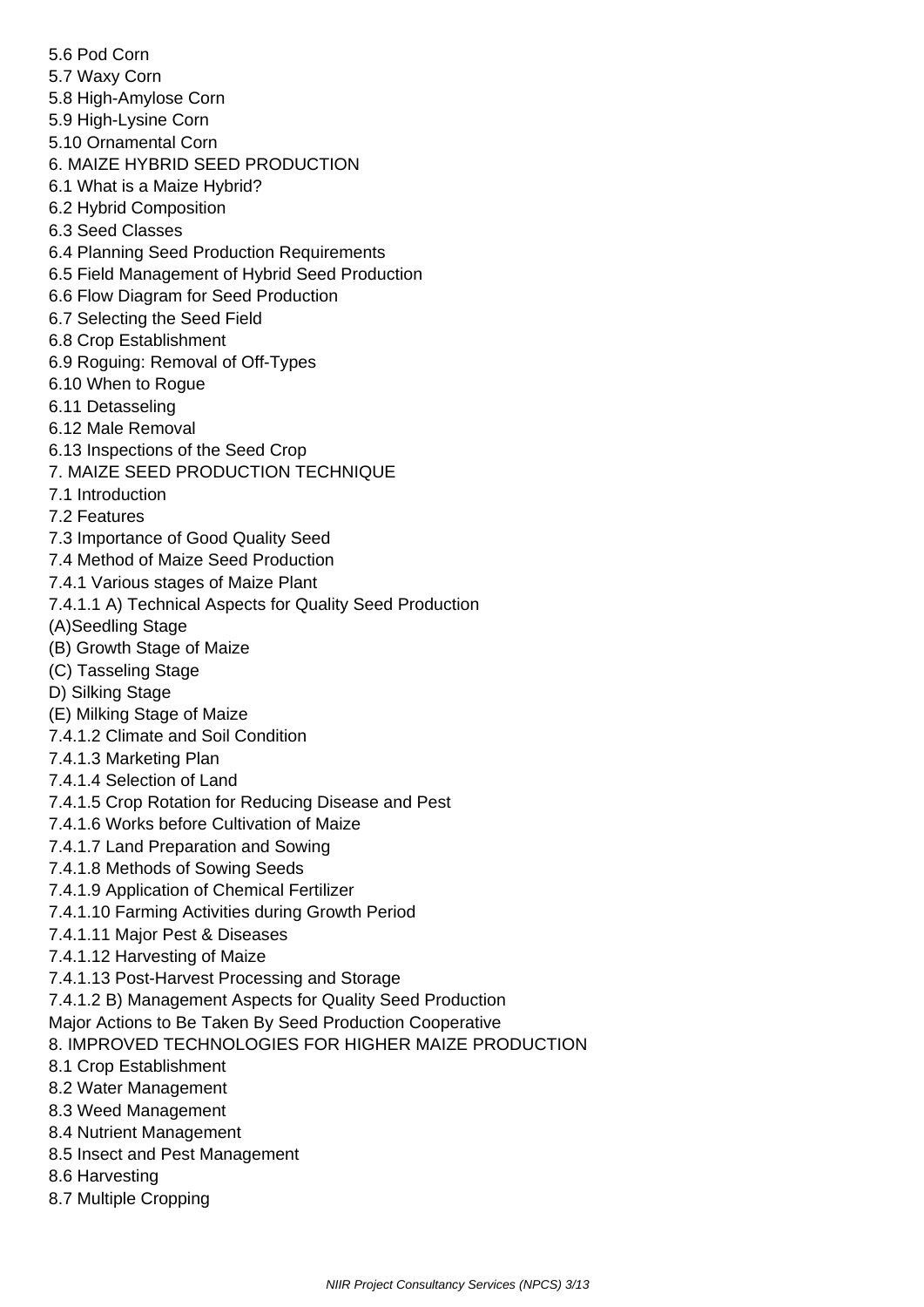5.6 Pod Corn 5.7 Waxy Corn 5.8 High-Amylose Corn 5.9 High-Lysine Corn 5.10 Ornamental Corn 6. MAIZE HYBRID SEED PRODUCTION 6.1 What is a Maize Hybrid? 6.2 Hybrid Composition 6.3 Seed Classes 6.4 Planning Seed Production Requirements 6.5 Field Management of Hybrid Seed Production 6.6 Flow Diagram for Seed Production 6.7 Selecting the Seed Field 6.8 Crop Establishment 6.9 Roguing: Removal of Off-Types 6.10 When to Rogue 6.11 Detasseling 6.12 Male Removal 6.13 Inspections of the Seed Crop 7. MAIZE SEED PRODUCTION TECHNIQUE 7.1 Introduction 7.2 Features 7.3 Importance of Good Quality Seed 7.4 Method of Maize Seed Production 7.4.1 Various stages of Maize Plant 7.4.1.1 A) Technical Aspects for Quality Seed Production (A)Seedling Stage (B) Growth Stage of Maize (C) Tasseling Stage D) Silking Stage (E) Milking Stage of Maize 7.4.1.2 Climate and Soil Condition 7.4.1.3 Marketing Plan 7.4.1.4 Selection of Land 7.4.1.5 Crop Rotation for Reducing Disease and Pest 7.4.1.6 Works before Cultivation of Maize 7.4.1.7 Land Preparation and Sowing 7.4.1.8 Methods of Sowing Seeds 7.4.1.9 Application of Chemical Fertilizer 7.4.1.10 Farming Activities during Growth Period 7.4.1.11 Major Pest & Diseases 7.4.1.12 Harvesting of Maize 7.4.1.13 Post-Harvest Processing and Storage 7.4.1.2 B) Management Aspects for Quality Seed Production Major Actions to Be Taken By Seed Production Cooperative 8. IMPROVED TECHNOLOGIES FOR HIGHER MAIZE PRODUCTION 8.1 Crop Establishment 8.2 Water Management 8.3 Weed Management 8.4 Nutrient Management 8.5 Insect and Pest Management

NIIR Project Consultancy Services (NPCS) 3/13

8.6 Harvesting

8.7 Multiple Cropping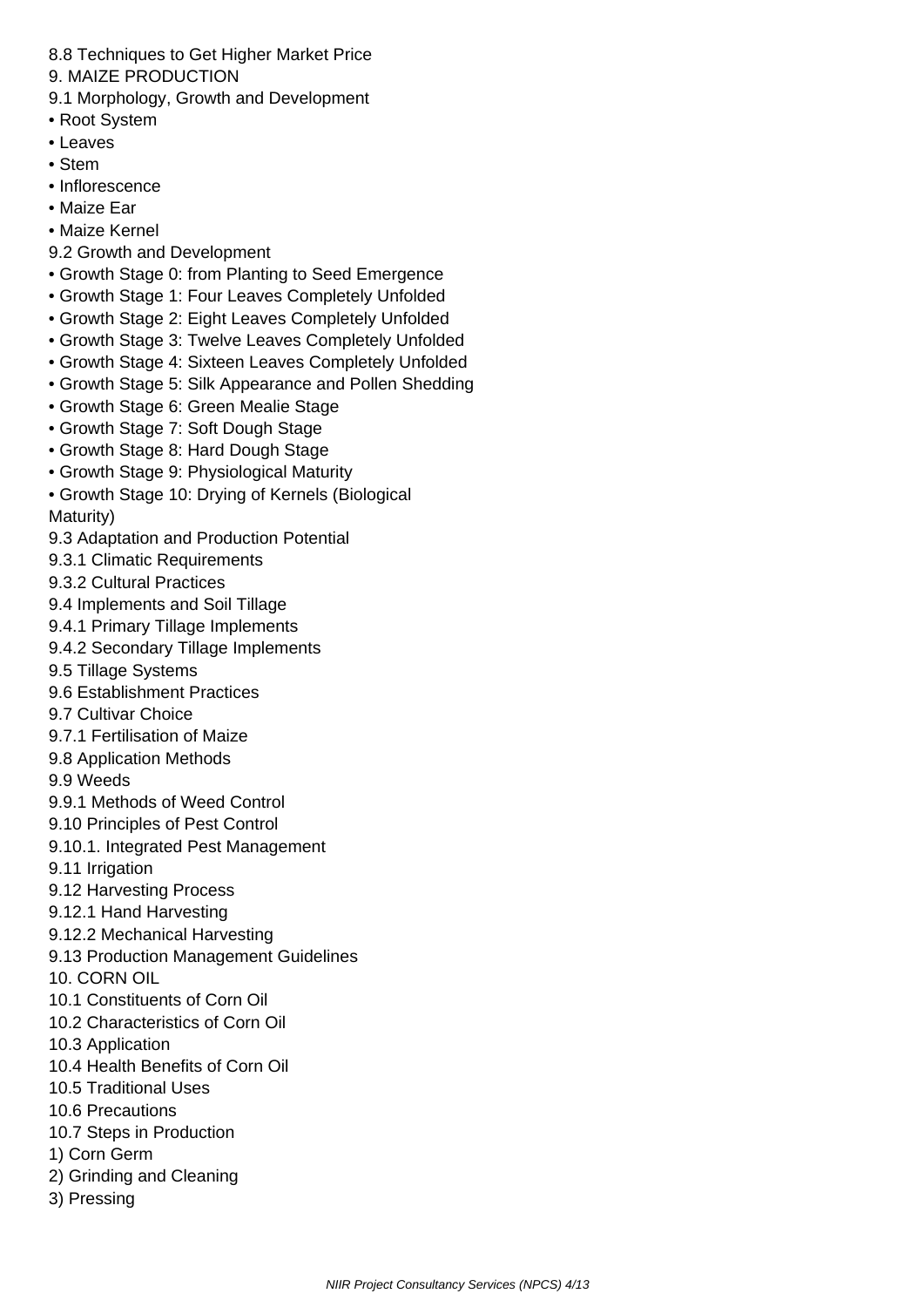8.8 Techniques to Get Higher Market Price

- 9. MAIZE PRODUCTION
- 9.1 Morphology, Growth and Development
- Root System
- Leaves
- Stem
- Inflorescence
- Maize Ear
- Maize Kernel
- 9.2 Growth and Development
- Growth Stage 0: from Planting to Seed Emergence
- Growth Stage 1: Four Leaves Completely Unfolded
- Growth Stage 2: Eight Leaves Completely Unfolded
- Growth Stage 3: Twelve Leaves Completely Unfolded
- Growth Stage 4: Sixteen Leaves Completely Unfolded
- Growth Stage 5: Silk Appearance and Pollen Shedding
- Growth Stage 6: Green Mealie Stage
- Growth Stage 7: Soft Dough Stage
- Growth Stage 8: Hard Dough Stage
- Growth Stage 9: Physiological Maturity
- Growth Stage 10: Drying of Kernels (Biological Maturity)
- 9.3 Adaptation and Production Potential
- 9.3.1 Climatic Requirements
- 9.3.2 Cultural Practices
- 9.4 Implements and Soil Tillage
- 9.4.1 Primary Tillage Implements
- 9.4.2 Secondary Tillage Implements
- 9.5 Tillage Systems
- 9.6 Establishment Practices
- 9.7 Cultivar Choice
- 9.7.1 Fertilisation of Maize
- 9.8 Application Methods
- 9.9 Weeds
- 9.9.1 Methods of Weed Control
- 9.10 Principles of Pest Control
- 9.10.1. Integrated Pest Management
- 9.11 Irrigation
- 9.12 Harvesting Process
- 9.12.1 Hand Harvesting
- 9.12.2 Mechanical Harvesting
- 9.13 Production Management Guidelines
- 10. CORN OIL
- 10.1 Constituents of Corn Oil
- 10.2 Characteristics of Corn Oil
- 10.3 Application
- 10.4 Health Benefits of Corn Oil
- 10.5 Traditional Uses
- 10.6 Precautions
- 10.7 Steps in Production
- 1) Corn Germ
- 2) Grinding and Cleaning
- 3) Pressing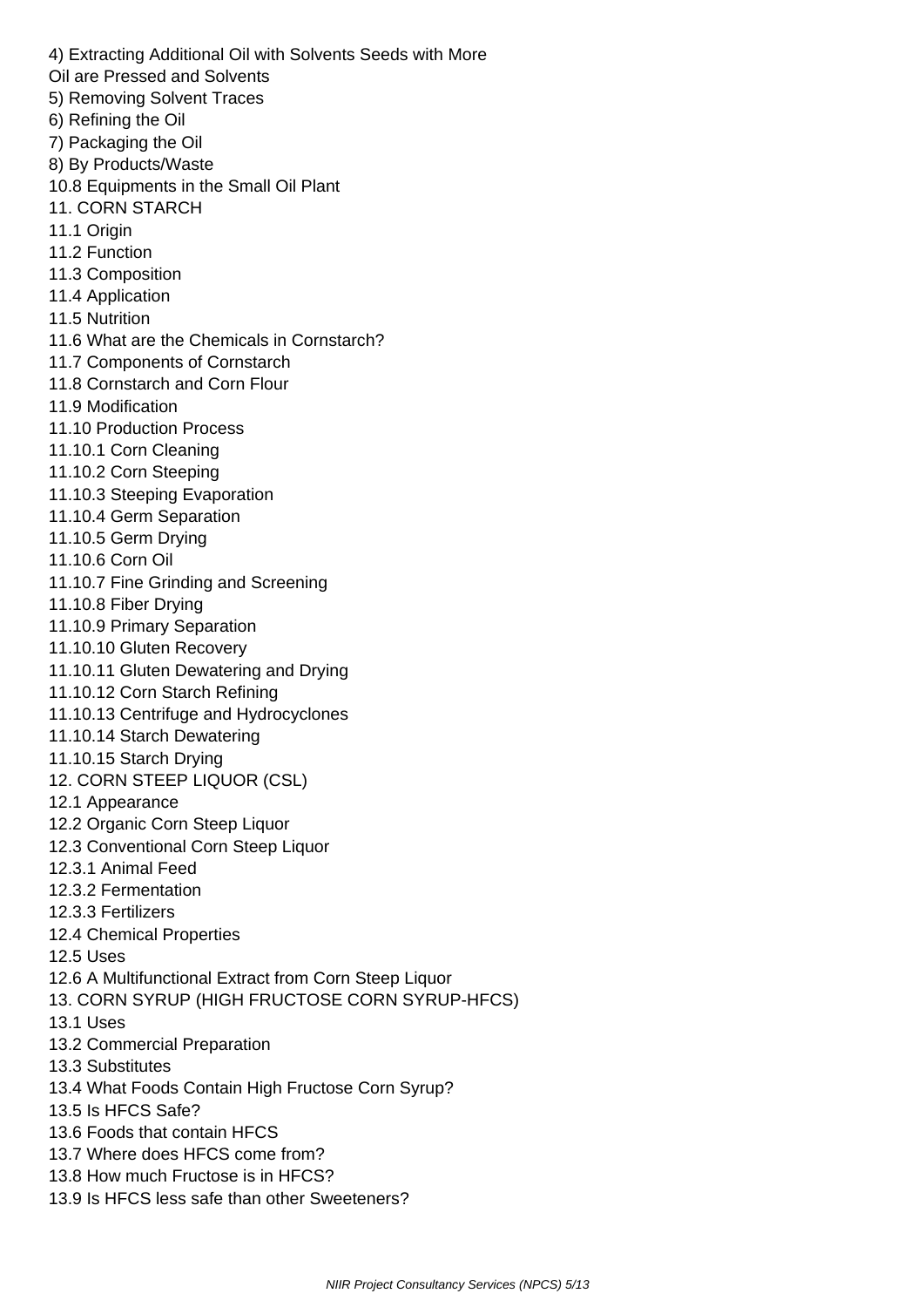- 4) Extracting Additional Oil with Solvents Seeds with More Oil are Pressed and Solvents 5) Removing Solvent Traces 6) Refining the Oil 7) Packaging the Oil 8) By Products/Waste 10.8 Equipments in the Small Oil Plant 11. CORN STARCH 11.1 Origin 11.2 Function 11.3 Composition 11.4 Application 11.5 Nutrition 11.6 What are the Chemicals in Cornstarch? 11.7 Components of Cornstarch 11.8 Cornstarch and Corn Flour 11.9 Modification 11.10 Production Process 11.10.1 Corn Cleaning 11.10.2 Corn Steeping 11.10.3 Steeping Evaporation 11.10.4 Germ Separation 11.10.5 Germ Drying 11.10.6 Corn Oil 11.10.7 Fine Grinding and Screening 11.10.8 Fiber Drying 11.10.9 Primary Separation 11.10.10 Gluten Recovery 11.10.11 Gluten Dewatering and Drying 11.10.12 Corn Starch Refining 11.10.13 Centrifuge and Hydrocyclones 11.10.14 Starch Dewatering 11.10.15 Starch Drying 12. CORN STEEP LIQUOR (CSL) 12.1 Appearance 12.2 Organic Corn Steep Liquor 12.3 Conventional Corn Steep Liquor 12.3.1 Animal Feed 12.3.2 Fermentation 12.3.3 Fertilizers 12.4 Chemical Properties 12.5 Uses 12.6 A Multifunctional Extract from Corn Steep Liquor 13. CORN SYRUP (HIGH FRUCTOSE CORN SYRUP-HFCS) 13.1 Uses 13.2 Commercial Preparation
	- 13.3 Substitutes
	- 13.4 What Foods Contain High Fructose Corn Syrup?
	- 13.5 Is HFCS Safe?
	- 13.6 Foods that contain HFCS
	- 13.7 Where does HFCS come from?
	- 13.8 How much Fructose is in HFCS?
	- 13.9 Is HFCS less safe than other Sweeteners?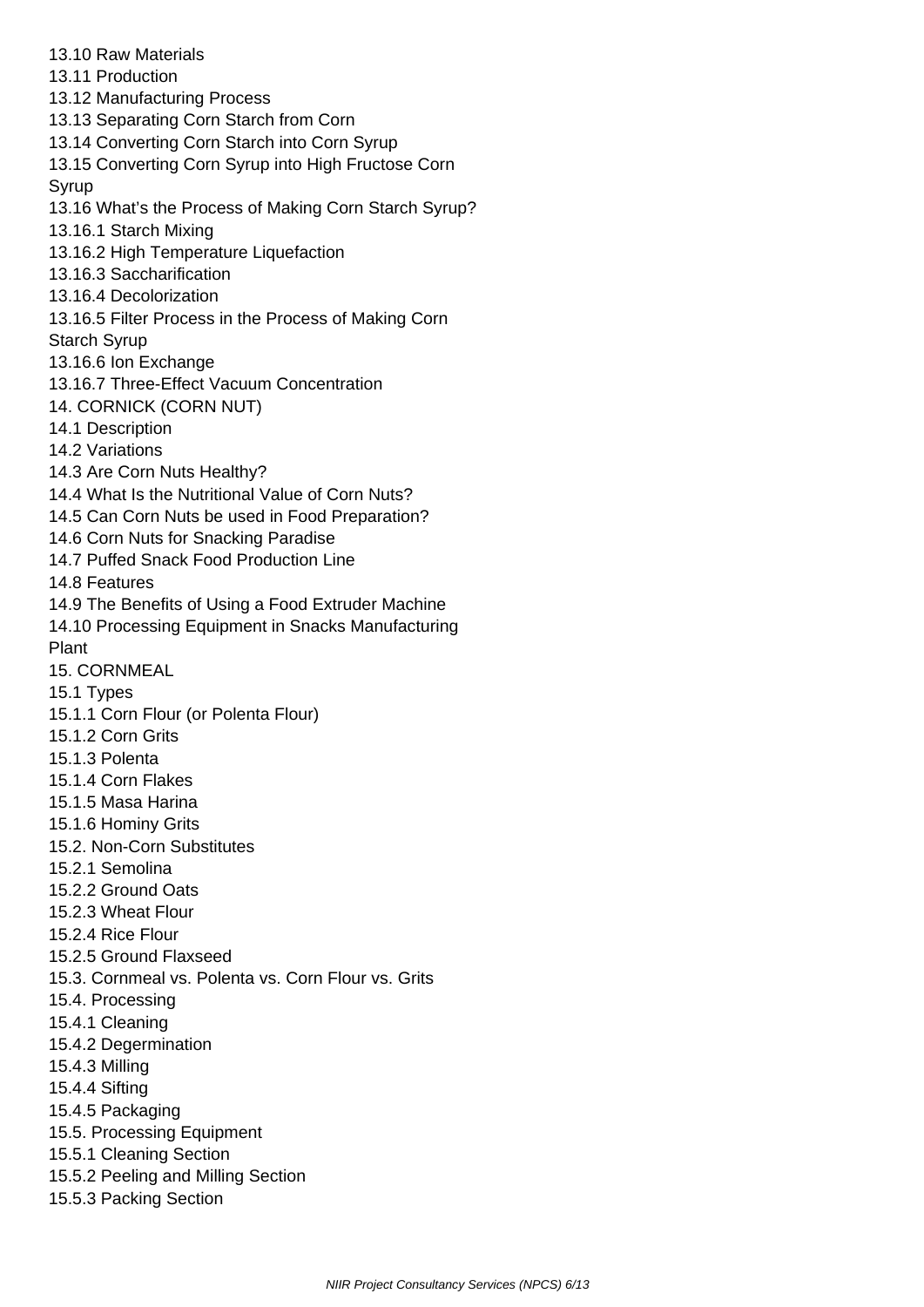- 13.10 Raw Materials
- 13.11 Production
- 13.12 Manufacturing Process
- 13.13 Separating Corn Starch from Corn
- 13.14 Converting Corn Starch into Corn Syrup
- 13.15 Converting Corn Syrup into High Fructose Corn
- Syrup
- 13.16 What's the Process of Making Corn Starch Syrup?
- 13.16.1 Starch Mixing
- 13.16.2 High Temperature Liquefaction
- 13.16.3 Saccharification
- 13.16.4 Decolorization
- 13.16.5 Filter Process in the Process of Making Corn
- Starch Syrup
- 13.16.6 Ion Exchange
- 13.16.7 Three-Effect Vacuum Concentration
- 14. CORNICK (CORN NUT)
- 14.1 Description
- 14.2 Variations
- 14.3 Are Corn Nuts Healthy?
- 14.4 What Is the Nutritional Value of Corn Nuts?
- 14.5 Can Corn Nuts be used in Food Preparation?
- 14.6 Corn Nuts for Snacking Paradise
- 14.7 Puffed Snack Food Production Line
- 14.8 Features
- 14.9 The Benefits of Using a Food Extruder Machine
- 14.10 Processing Equipment in Snacks Manufacturing Plant
- 15. CORNMEAL
- 15.1 Types
- 15.1.1 Corn Flour (or Polenta Flour)
- 15.1.2 Corn Grits
- 15.1.3 Polenta
- 15.1.4 Corn Flakes
- 15.1.5 Masa Harina
- 15.1.6 Hominy Grits
- 15.2. Non-Corn Substitutes
- 15.2.1 Semolina
- 15.2.2 Ground Oats
- 15.2.3 Wheat Flour
- 15.2.4 Rice Flour
- 15.2.5 Ground Flaxseed
- 15.3. Cornmeal vs. Polenta vs. Corn Flour vs. Grits
- 15.4. Processing
- 15.4.1 Cleaning
- 15.4.2 Degermination
- 15.4.3 Milling
- 15.4.4 Sifting
- 15.4.5 Packaging
- 15.5. Processing Equipment
- 15.5.1 Cleaning Section
- 15.5.2 Peeling and Milling Section
- 15.5.3 Packing Section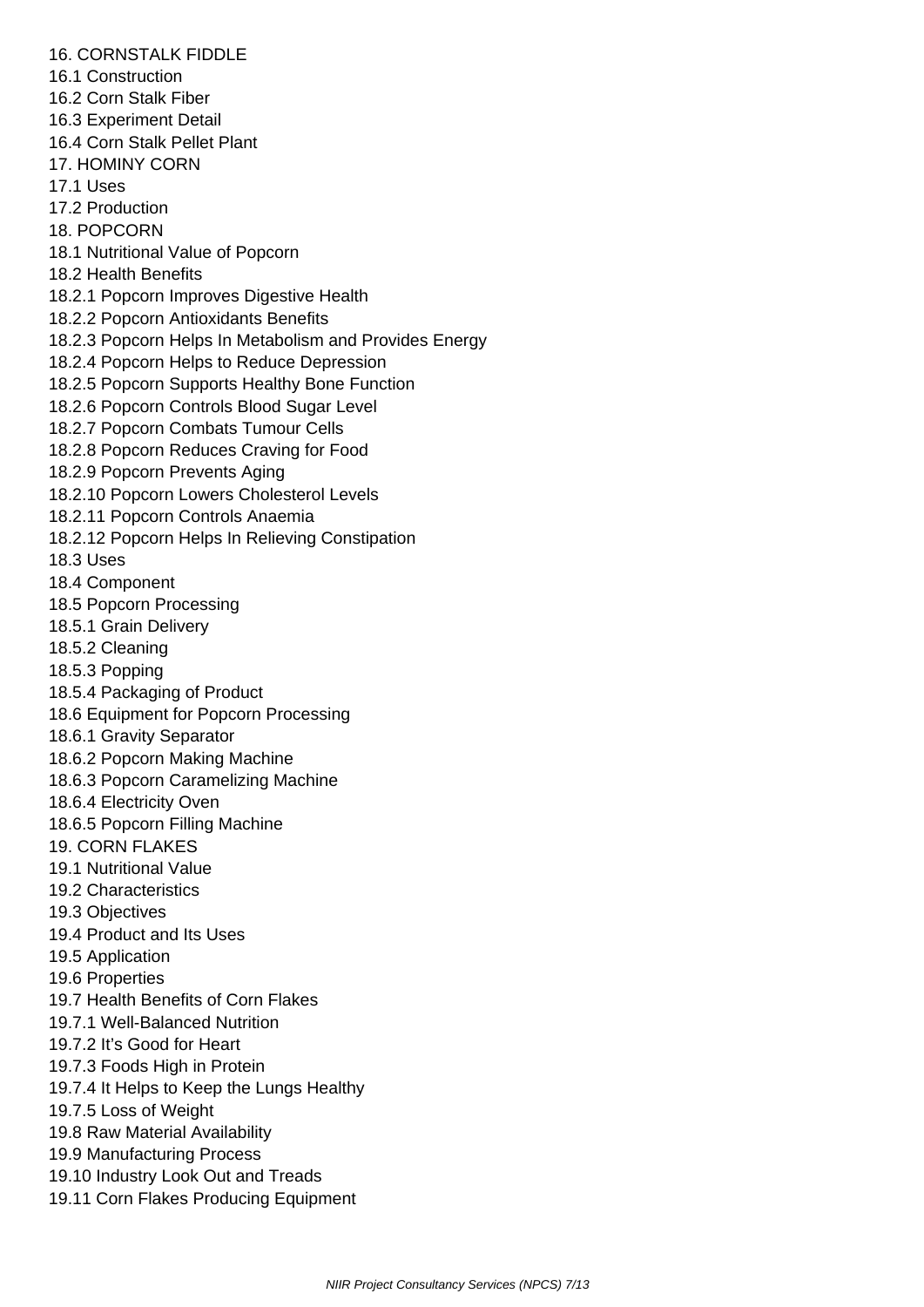16. CORNSTALK FIDDLE 16.1 Construction 16.2 Corn Stalk Fiber 16.3 Experiment Detail 16.4 Corn Stalk Pellet Plant 17. HOMINY CORN 17.1 Uses 17.2 Production 18. POPCORN 18.1 Nutritional Value of Popcorn 18.2 Health Benefits 18.2.1 Popcorn Improves Digestive Health 18.2.2 Popcorn Antioxidants Benefits 18.2.3 Popcorn Helps In Metabolism and Provides Energy 18.2.4 Popcorn Helps to Reduce Depression 18.2.5 Popcorn Supports Healthy Bone Function 18.2.6 Popcorn Controls Blood Sugar Level 18.2.7 Popcorn Combats Tumour Cells 18.2.8 Popcorn Reduces Craving for Food 18.2.9 Popcorn Prevents Aging 18.2.10 Popcorn Lowers Cholesterol Levels 18.2.11 Popcorn Controls Anaemia 18.2.12 Popcorn Helps In Relieving Constipation 18.3 Uses 18.4 Component 18.5 Popcorn Processing 18.5.1 Grain Delivery 18.5.2 Cleaning 18.5.3 Popping 18.5.4 Packaging of Product 18.6 Equipment for Popcorn Processing 18.6.1 Gravity Separator 18.6.2 Popcorn Making Machine 18.6.3 Popcorn Caramelizing Machine 18.6.4 Electricity Oven 18.6.5 Popcorn Filling Machine 19. CORN FLAKES 19.1 Nutritional Value 19.2 Characteristics 19.3 Objectives 19.4 Product and Its Uses 19.5 Application 19.6 Properties 19.7 Health Benefits of Corn Flakes 19.7.1 Well-Balanced Nutrition 19.7.2 It's Good for Heart 19.7.3 Foods High in Protein 19.7.4 It Helps to Keep the Lungs Healthy 19.7.5 Loss of Weight 19.8 Raw Material Availability 19.9 Manufacturing Process 19.10 Industry Look Out and Treads 19.11 Corn Flakes Producing Equipment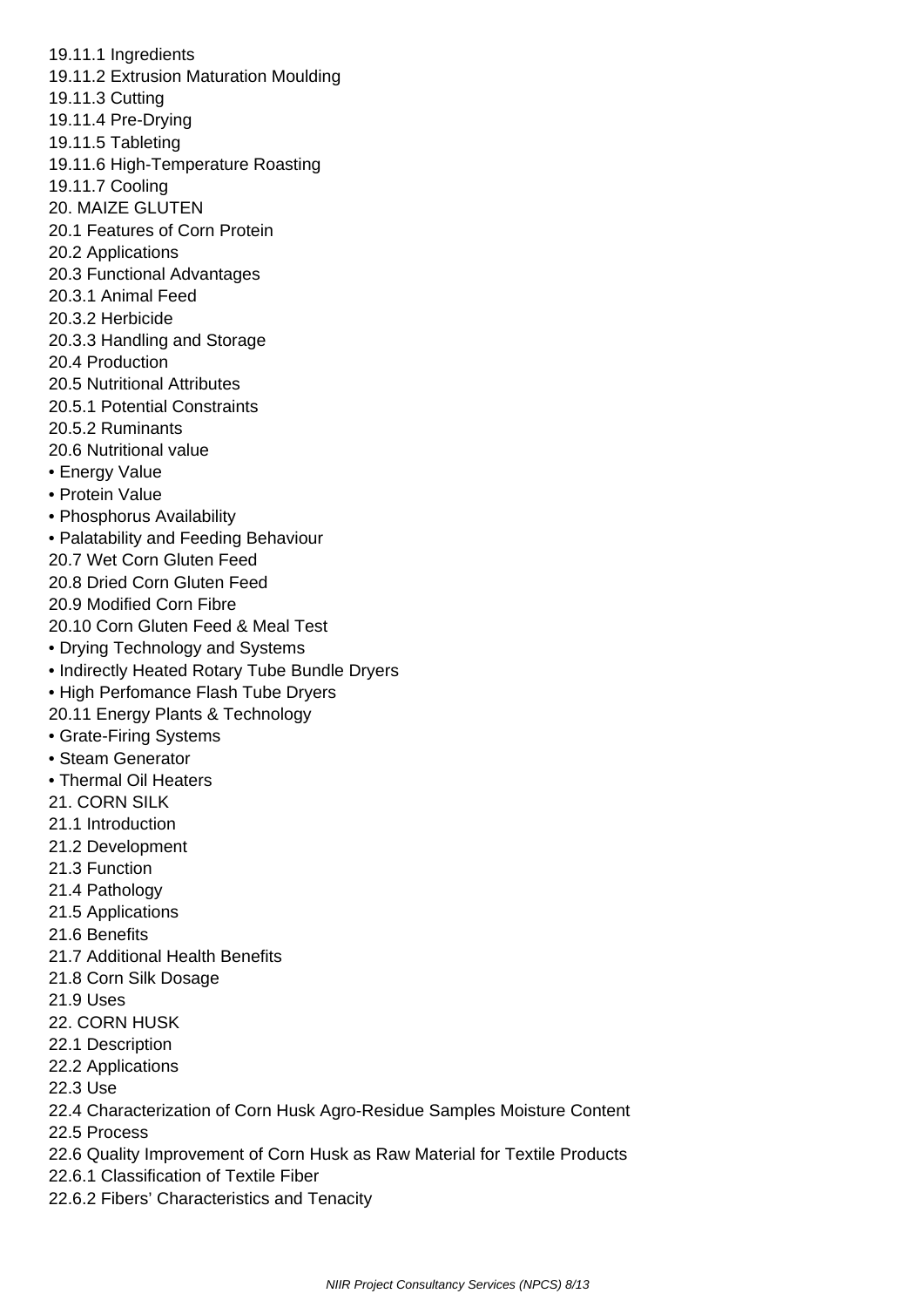19.11.1 Ingredients 19.11.2 Extrusion Maturation Moulding 19.11.3 Cutting 19.11.4 Pre-Drying 19.11.5 Tableting 19.11.6 High-Temperature Roasting 19.11.7 Cooling 20. MAIZE GLUTEN 20.1 Features of Corn Protein 20.2 Applications 20.3 Functional Advantages 20.3.1 Animal Feed 20.3.2 Herbicide 20.3.3 Handling and Storage 20.4 Production 20.5 Nutritional Attributes 20.5.1 Potential Constraints 20.5.2 Ruminants 20.6 Nutritional value • Energy Value • Protein Value • Phosphorus Availability • Palatability and Feeding Behaviour 20.7 Wet Corn Gluten Feed 20.8 Dried Corn Gluten Feed 20.9 Modified Corn Fibre 20.10 Corn Gluten Feed & Meal Test • Drying Technology and Systems • Indirectly Heated Rotary Tube Bundle Dryers • High Perfomance Flash Tube Dryers 20.11 Energy Plants & Technology • Grate-Firing Systems • Steam Generator • Thermal Oil Heaters 21. CORN SILK 21.1 Introduction 21.2 Development 21.3 Function 21.4 Pathology 21.5 Applications 21.6 Benefits 21.7 Additional Health Benefits 21.8 Corn Silk Dosage 21.9 Uses 22. CORN HUSK 22.1 Description 22.2 Applications 22.3 Use 22.4 Characterization of Corn Husk Agro-Residue Samples Moisture Content 22.5 Process 22.6 Quality Improvement of Corn Husk as Raw Material for Textile Products 22.6.1 Classification of Textile Fiber 22.6.2 Fibers' Characteristics and Tenacity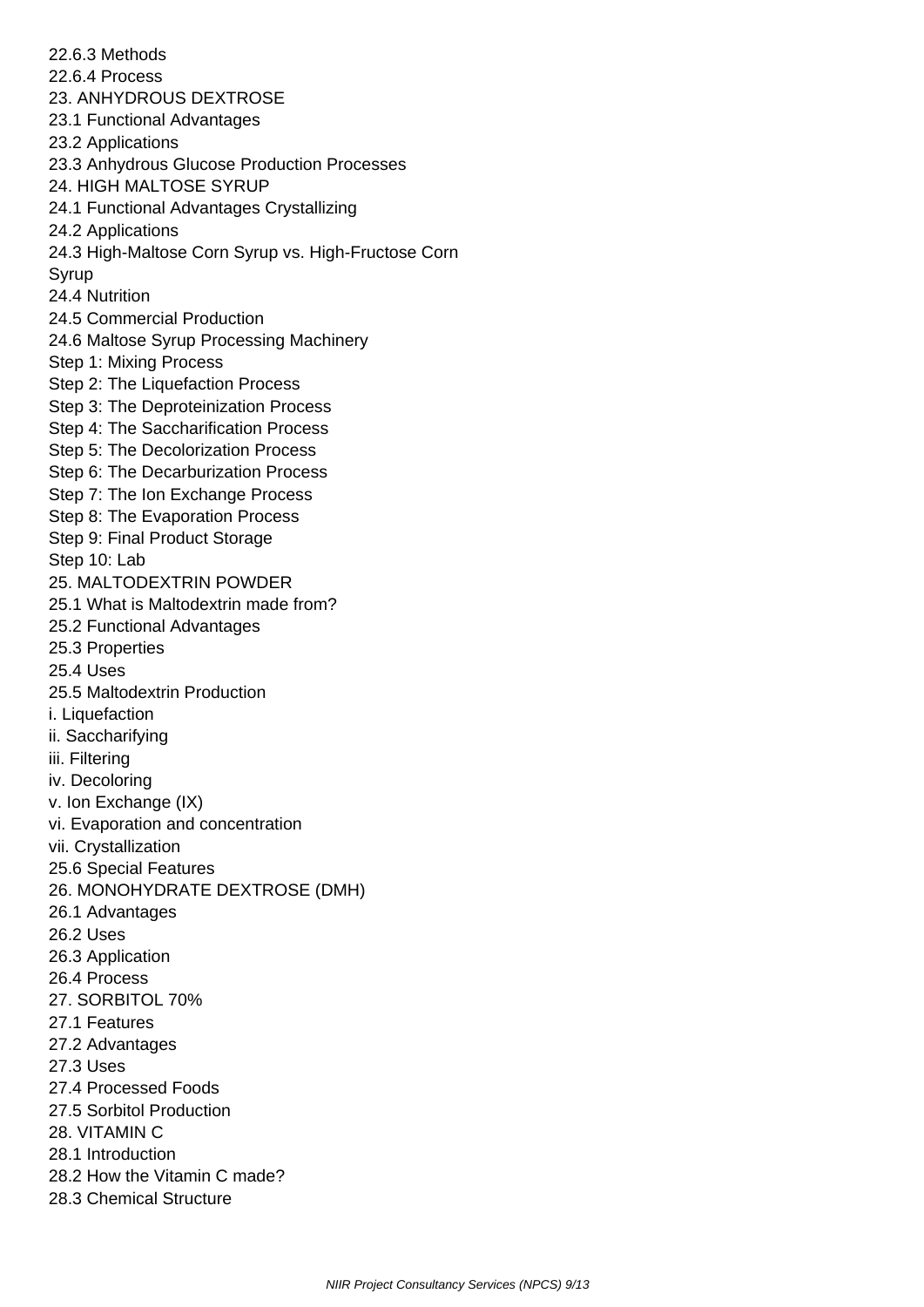22.6.3 Methods 22.6.4 Process 23. ANHYDROUS DEXTROSE 23.1 Functional Advantages 23.2 Applications 23.3 Anhydrous Glucose Production Processes 24. HIGH MALTOSE SYRUP 24.1 Functional Advantages Crystallizing 24.2 Applications 24.3 High-Maltose Corn Syrup vs. High-Fructose Corn Syrup 24.4 Nutrition 24.5 Commercial Production 24.6 Maltose Syrup Processing Machinery Step 1: Mixing Process Step 2: The Liquefaction Process Step 3: The Deproteinization Process Step 4: The Saccharification Process Step 5: The Decolorization Process Step 6: The Decarburization Process Step 7: The Ion Exchange Process Step 8: The Evaporation Process Step 9: Final Product Storage Step 10: Lab 25. MALTODEXTRIN POWDER 25.1 What is Maltodextrin made from? 25.2 Functional Advantages 25.3 Properties 25.4 Uses 25.5 Maltodextrin Production i. Liquefaction ii. Saccharifying iii. Filtering iv. Decoloring v. Ion Exchange (IX) vi. Evaporation and concentration vii. Crystallization 25.6 Special Features 26. MONOHYDRATE DEXTROSE (DMH) 26.1 Advantages 26.2 Uses 26.3 Application 26.4 Process 27. SORBITOL 70% 27.1 Features 27.2 Advantages 27.3 Uses 27.4 Processed Foods 27.5 Sorbitol Production 28. VITAMIN C 28.1 Introduction 28.2 How the Vitamin C made? 28.3 Chemical Structure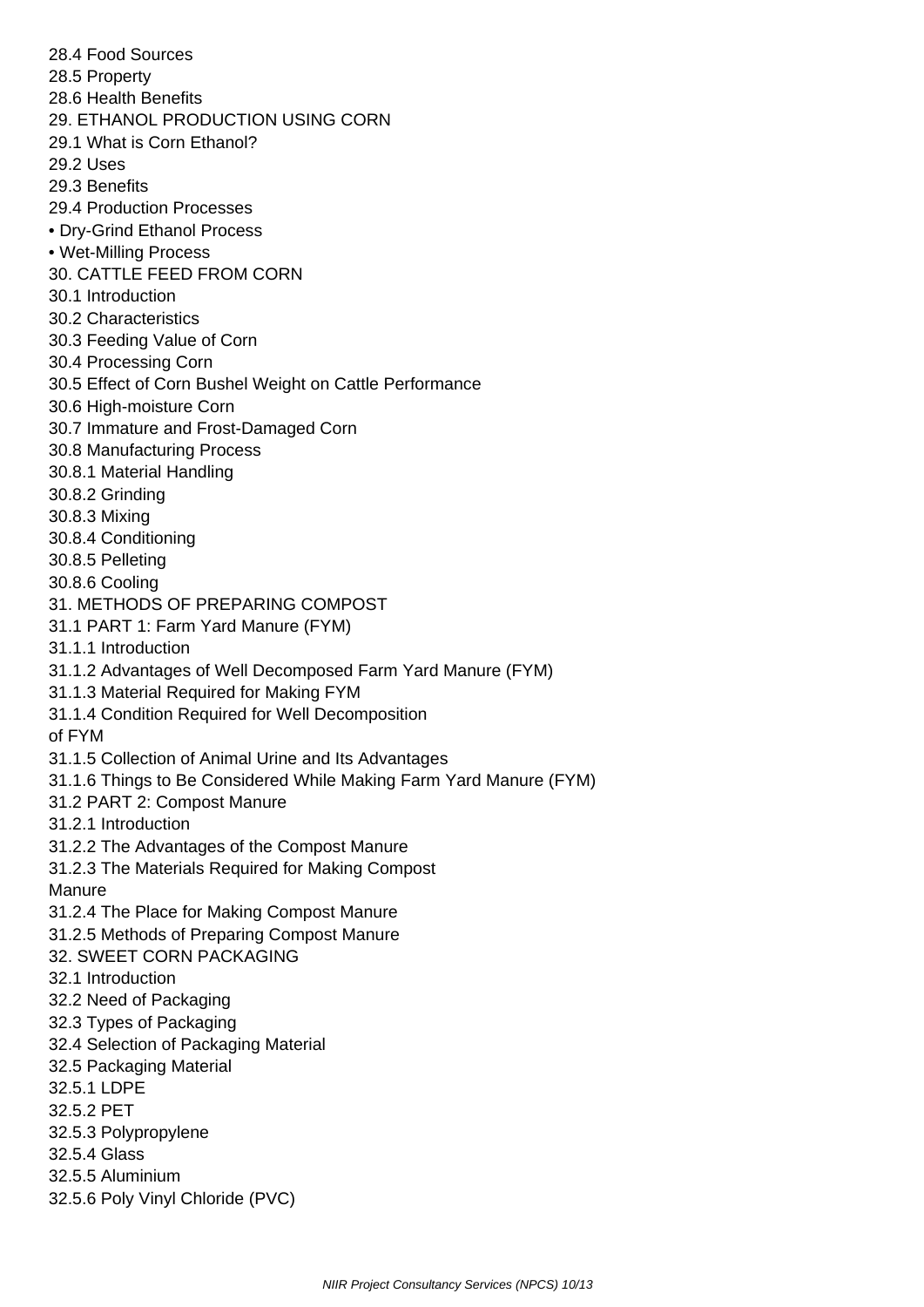28.4 Food Sources 28.5 Property 28.6 Health Benefits 29. ETHANOL PRODUCTION USING CORN 29.1 What is Corn Ethanol? 29.2 Uses 29.3 Benefits 29.4 Production Processes • Dry-Grind Ethanol Process • Wet-Milling Process 30. CATTLE FEED FROM CORN 30.1 Introduction 30.2 Characteristics 30.3 Feeding Value of Corn 30.4 Processing Corn 30.5 Effect of Corn Bushel Weight on Cattle Performance 30.6 High-moisture Corn 30.7 Immature and Frost-Damaged Corn 30.8 Manufacturing Process 30.8.1 Material Handling 30.8.2 Grinding 30.8.3 Mixing 30.8.4 Conditioning 30.8.5 Pelleting 30.8.6 Cooling 31. METHODS OF PREPARING COMPOST 31.1 PART 1: Farm Yard Manure (FYM) 31.1.1 Introduction 31.1.2 Advantages of Well Decomposed Farm Yard Manure (FYM) 31.1.3 Material Required for Making FYM 31.1.4 Condition Required for Well Decomposition of FYM 31.1.5 Collection of Animal Urine and Its Advantages 31.1.6 Things to Be Considered While Making Farm Yard Manure (FYM) 31.2 PART 2: Compost Manure 31.2.1 Introduction 31.2.2 The Advantages of the Compost Manure 31.2.3 The Materials Required for Making Compost **Manure**  31.2.4 The Place for Making Compost Manure 31.2.5 Methods of Preparing Compost Manure 32. SWEET CORN PACKAGING 32.1 Introduction 32.2 Need of Packaging 32.3 Types of Packaging 32.4 Selection of Packaging Material 32.5 Packaging Material 32.5.1 LDPE 32.5.2 PET 32.5.3 Polypropylene 32.5.4 Glass 32.5.5 Aluminium 32.5.6 Poly Vinyl Chloride (PVC)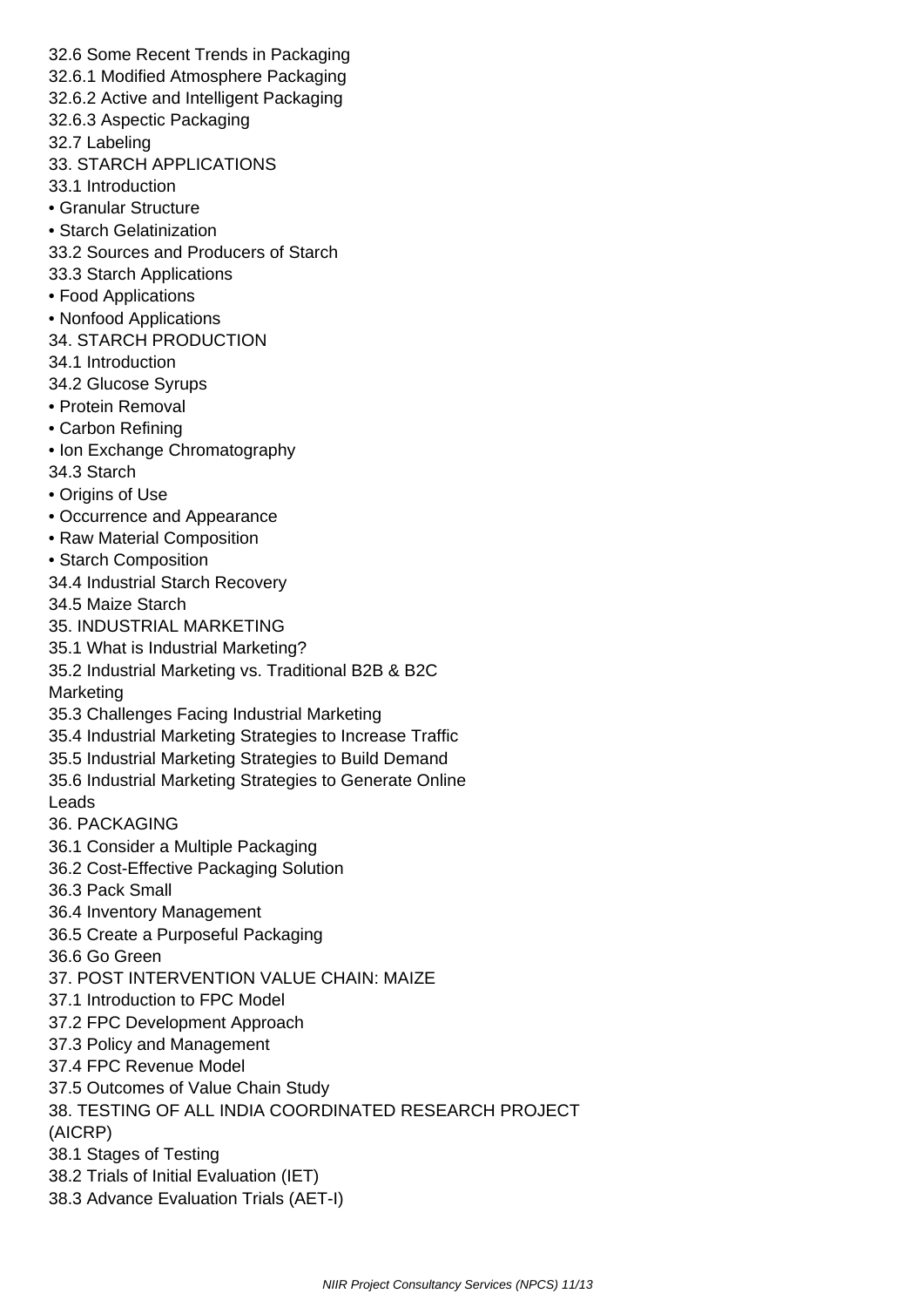32.6 Some Recent Trends in Packaging

32.6.1 Modified Atmosphere Packaging

32.6.2 Active and Intelligent Packaging

32.6.3 Aspectic Packaging

32.7 Labeling

33. STARCH APPLICATIONS

33.1 Introduction

- Granular Structure
- Starch Gelatinization
- 33.2 Sources and Producers of Starch
- 33.3 Starch Applications
- Food Applications
- Nonfood Applications
- 34. STARCH PRODUCTION
- 34.1 Introduction
- 34.2 Glucose Syrups
- Protein Removal
- Carbon Refining
- Ion Exchange Chromatography

34.3 Starch

- Origins of Use
- Occurrence and Appearance
- Raw Material Composition
- Starch Composition
- 34.4 Industrial Starch Recovery

34.5 Maize Starch

- 35. INDUSTRIAL MARKETING
- 35.1 What is Industrial Marketing?

35.2 Industrial Marketing vs. Traditional B2B & B2C

- Marketing
- 35.3 Challenges Facing Industrial Marketing
- 35.4 Industrial Marketing Strategies to Increase Traffic
- 35.5 Industrial Marketing Strategies to Build Demand
- 35.6 Industrial Marketing Strategies to Generate Online

Leads

- 36. PACKAGING
- 36.1 Consider a Multiple Packaging
- 36.2 Cost-Effective Packaging Solution
- 36.3 Pack Small
- 36.4 Inventory Management
- 36.5 Create a Purposeful Packaging

36.6 Go Green

- 37. POST INTERVENTION VALUE CHAIN: MAIZE
- 37.1 Introduction to FPC Model
- 37.2 FPC Development Approach
- 37.3 Policy and Management
- 37.4 FPC Revenue Model
- 37.5 Outcomes of Value Chain Study
- 38. TESTING OF ALL INDIA COORDINATED RESEARCH PROJECT

(AICRP)

- 38.1 Stages of Testing
- 38.2 Trials of Initial Evaluation (IET)
- 38.3 Advance Evaluation Trials (AET-I)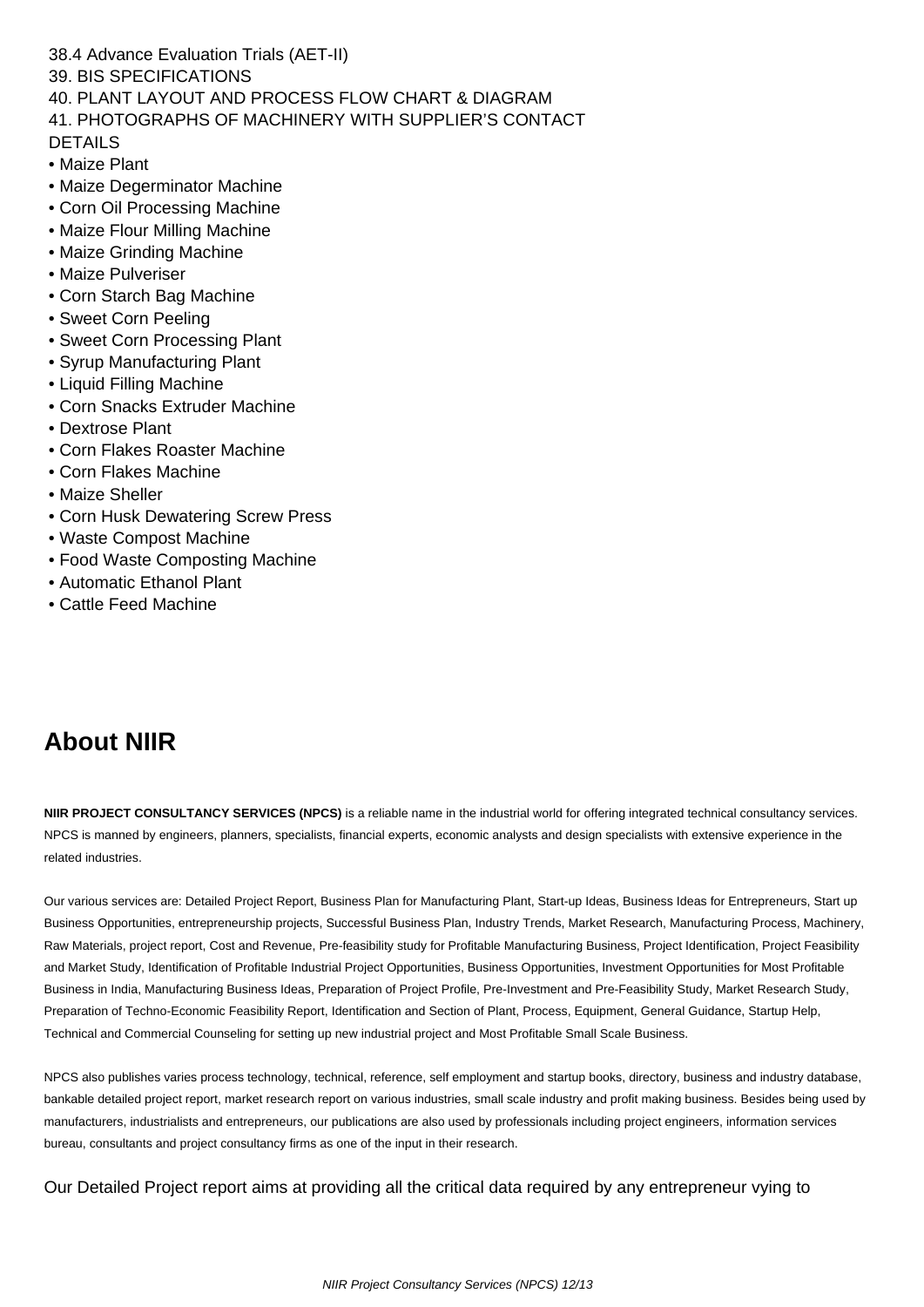38.4 Advance Evaluation Trials (AET-II) 39. BIS SPECIFICATIONS 40. PLANT LAYOUT AND PROCESS FLOW CHART & DIAGRAM 41. PHOTOGRAPHS OF MACHINERY WITH SUPPLIER'S CONTACT DETAILS

- Maize Plant
- Maize Degerminator Machine
- Corn Oil Processing Machine
- Maize Flour Milling Machine
- Maize Grinding Machine
- Maize Pulveriser
- Corn Starch Bag Machine
- Sweet Corn Peeling
- Sweet Corn Processing Plant
- Syrup Manufacturing Plant
- Liquid Filling Machine
- Corn Snacks Extruder Machine
- Dextrose Plant
- Corn Flakes Roaster Machine
- Corn Flakes Machine
- Maize Sheller
- Corn Husk Dewatering Screw Press
- Waste Compost Machine
- Food Waste Composting Machine
- Automatic Ethanol Plant
- Cattle Feed Machine

## **About NIIR**

**NIIR PROJECT CONSULTANCY SERVICES (NPCS)** is a reliable name in the industrial world for offering integrated technical consultancy services. NPCS is manned by engineers, planners, specialists, financial experts, economic analysts and design specialists with extensive experience in the related industries.

Our various services are: Detailed Project Report, Business Plan for Manufacturing Plant, Start-up Ideas, Business Ideas for Entrepreneurs, Start up Business Opportunities, entrepreneurship projects, Successful Business Plan, Industry Trends, Market Research, Manufacturing Process, Machinery, Raw Materials, project report, Cost and Revenue, Pre-feasibility study for Profitable Manufacturing Business, Project Identification, Project Feasibility and Market Study, Identification of Profitable Industrial Project Opportunities, Business Opportunities, Investment Opportunities for Most Profitable Business in India, Manufacturing Business Ideas, Preparation of Project Profile, Pre-Investment and Pre-Feasibility Study, Market Research Study, Preparation of Techno-Economic Feasibility Report, Identification and Section of Plant, Process, Equipment, General Guidance, Startup Help, Technical and Commercial Counseling for setting up new industrial project and Most Profitable Small Scale Business.

NPCS also publishes varies process technology, technical, reference, self employment and startup books, directory, business and industry database, bankable detailed project report, market research report on various industries, small scale industry and profit making business. Besides being used by manufacturers, industrialists and entrepreneurs, our publications are also used by professionals including project engineers, information services bureau, consultants and project consultancy firms as one of the input in their research.

Our Detailed Project report aims at providing all the critical data required by any entrepreneur vying to